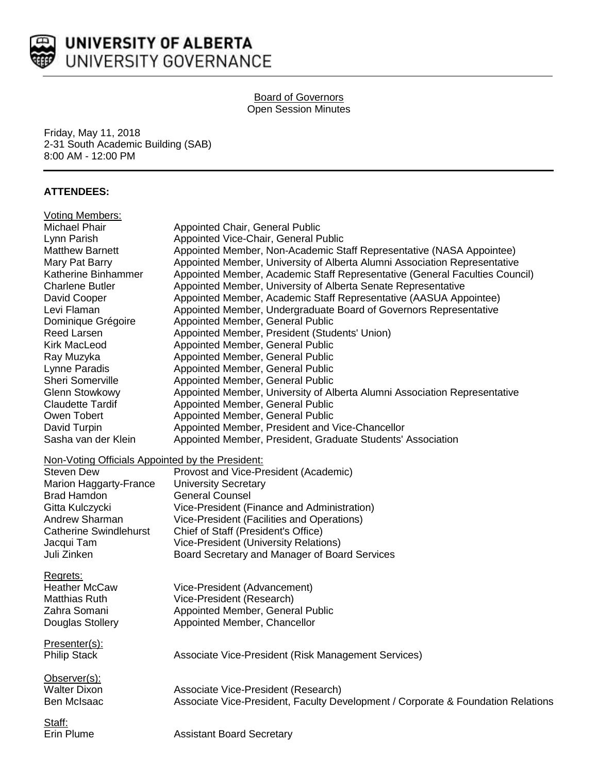

## **Board of Governors** Open Session Minutes

Friday, May 11, 2018 2-31 South Academic Building (SAB) 8:00 AM - 12:00 PM

# **ATTENDEES:**

| <b>Voting Members:</b>                           |                                                                                  |
|--------------------------------------------------|----------------------------------------------------------------------------------|
| Michael Phair                                    | Appointed Chair, General Public                                                  |
| Lynn Parish                                      | Appointed Vice-Chair, General Public                                             |
| <b>Matthew Barnett</b>                           | Appointed Member, Non-Academic Staff Representative (NASA Appointee)             |
| Mary Pat Barry                                   | Appointed Member, University of Alberta Alumni Association Representative        |
| Katherine Binhammer                              | Appointed Member, Academic Staff Representative (General Faculties Council)      |
| <b>Charlene Butler</b>                           | Appointed Member, University of Alberta Senate Representative                    |
| David Cooper                                     | Appointed Member, Academic Staff Representative (AASUA Appointee)                |
| Levi Flaman                                      | Appointed Member, Undergraduate Board of Governors Representative                |
| Dominique Grégoire                               | Appointed Member, General Public                                                 |
| Reed Larsen                                      | Appointed Member, President (Students' Union)                                    |
| Kirk MacLeod                                     | Appointed Member, General Public                                                 |
| Ray Muzyka                                       | Appointed Member, General Public                                                 |
| Lynne Paradis                                    | Appointed Member, General Public                                                 |
| <b>Sheri Somerville</b>                          | Appointed Member, General Public                                                 |
| <b>Glenn Stowkowy</b>                            | Appointed Member, University of Alberta Alumni Association Representative        |
| <b>Claudette Tardif</b>                          | Appointed Member, General Public                                                 |
| Owen Tobert                                      | Appointed Member, General Public                                                 |
| David Turpin                                     | Appointed Member, President and Vice-Chancellor                                  |
| Sasha van der Klein                              | Appointed Member, President, Graduate Students' Association                      |
|                                                  |                                                                                  |
| Non-Voting Officials Appointed by the President: |                                                                                  |
| <b>Steven Dew</b>                                | Provost and Vice-President (Academic)                                            |
| Marion Haggarty-France                           | <b>University Secretary</b>                                                      |
| <b>Brad Hamdon</b>                               | <b>General Counsel</b>                                                           |
| Gitta Kulczycki                                  | Vice-President (Finance and Administration)                                      |
| Andrew Sharman                                   | Vice-President (Facilities and Operations)                                       |
| <b>Catherine Swindlehurst</b>                    | Chief of Staff (President's Office)                                              |
| Jacqui Tam                                       | Vice-President (University Relations)                                            |
| Juli Zinken                                      | Board Secretary and Manager of Board Services                                    |
| Regrets:                                         |                                                                                  |
| <b>Heather McCaw</b>                             | Vice-President (Advancement)                                                     |
| <b>Matthias Ruth</b>                             | Vice-President (Research)                                                        |
| Zahra Somani                                     | Appointed Member, General Public                                                 |
| Douglas Stollery                                 | Appointed Member, Chancellor                                                     |
|                                                  |                                                                                  |
| Presenter(s):                                    |                                                                                  |
| <b>Philip Stack</b>                              | Associate Vice-President (Risk Management Services)                              |
|                                                  |                                                                                  |
| Observer(s):                                     |                                                                                  |
| <b>Walter Dixon</b>                              | Associate Vice-President (Research)                                              |
| <b>Ben McIsaac</b>                               | Associate Vice-President, Faculty Development / Corporate & Foundation Relations |
|                                                  |                                                                                  |
| Staff:                                           |                                                                                  |
| Erin Plume                                       | <b>Assistant Board Secretary</b>                                                 |
|                                                  |                                                                                  |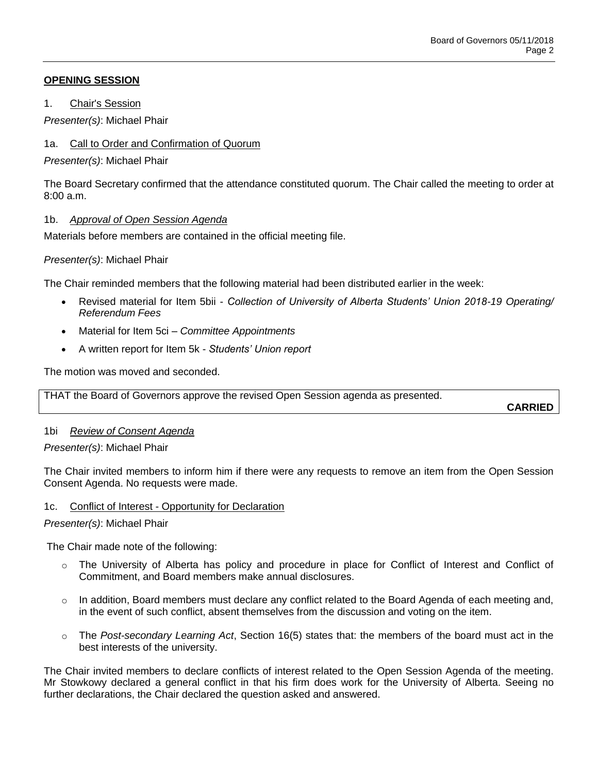## **OPENING SESSION**

1. Chair's Session

*Presenter(s)*: Michael Phair

# 1a. Call to Order and Confirmation of Quorum

*Presenter(s)*: Michael Phair

The Board Secretary confirmed that the attendance constituted quorum. The Chair called the meeting to order at  $8:00a \, m$ 

## 1b. *Approval of Open Session Agenda*

Materials before members are contained in the official meeting file.

## *Presenter(s)*: Michael Phair

The Chair reminded members that the following material had been distributed earlier in the week:

- Revised material for Item 5bii *Collection of University of Alberta Students' Union 2018-19 Operating/ Referendum Fees*
- Material for Item 5ci *Committee Appointments*
- A written report for Item 5k *Students' Union report*

The motion was moved and seconded.

THAT the Board of Governors approve the revised Open Session agenda as presented.

**CARRIED**

# 1bi *Review of Consent Agenda*

*Presenter(s)*: Michael Phair

The Chair invited members to inform him if there were any requests to remove an item from the Open Session Consent Agenda. No requests were made.

### 1c. Conflict of Interest - Opportunity for Declaration

### *Presenter(s)*: Michael Phair

The Chair made note of the following:

- o The University of Alberta has policy and procedure in place for Conflict of Interest and Conflict of Commitment, and Board members make annual disclosures.
- $\circ$  In addition, Board members must declare any conflict related to the Board Agenda of each meeting and, in the event of such conflict, absent themselves from the discussion and voting on the item.
- o The *Post-secondary Learning Act*, Section 16(5) states that: the members of the board must act in the best interests of the university.

The Chair invited members to declare conflicts of interest related to the Open Session Agenda of the meeting. Mr Stowkowy declared a general conflict in that his firm does work for the University of Alberta. Seeing no further declarations, the Chair declared the question asked and answered.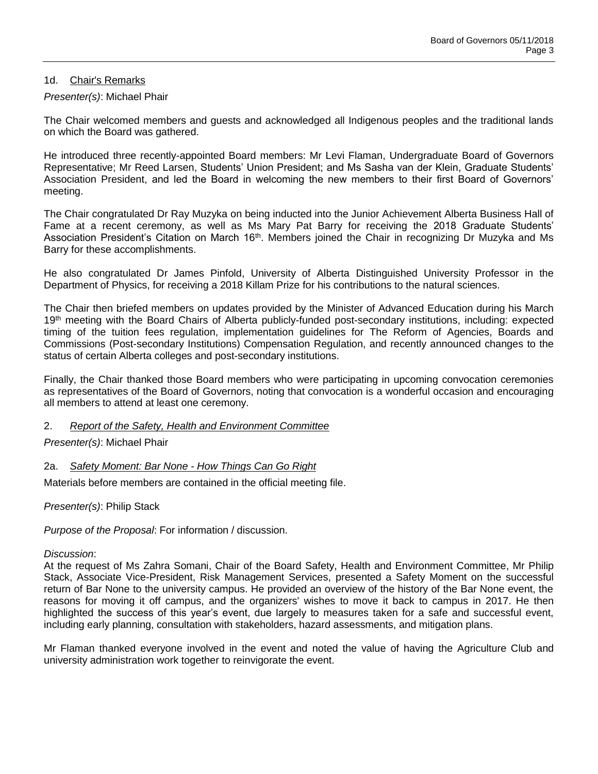### 1d. Chair's Remarks

### *Presenter(s)*: Michael Phair

The Chair welcomed members and guests and acknowledged all Indigenous peoples and the traditional lands on which the Board was gathered.

He introduced three recently-appointed Board members: Mr Levi Flaman, Undergraduate Board of Governors Representative; Mr Reed Larsen, Students' Union President; and Ms Sasha van der Klein, Graduate Students' Association President, and led the Board in welcoming the new members to their first Board of Governors' meeting.

The Chair congratulated Dr Ray Muzyka on being inducted into the Junior Achievement Alberta Business Hall of Fame at a recent ceremony, as well as Ms Mary Pat Barry for receiving the 2018 Graduate Students' Association President's Citation on March 16<sup>th</sup>. Members joined the Chair in recognizing Dr Muzyka and Ms Barry for these accomplishments.

He also congratulated Dr James Pinfold, University of Alberta Distinguished University Professor in the Department of Physics, for receiving a 2018 Killam Prize for his contributions to the natural sciences.

The Chair then briefed members on updates provided by the Minister of Advanced Education during his March 19<sup>th</sup> meeting with the Board Chairs of Alberta publicly-funded post-secondary institutions, including: expected timing of the tuition fees regulation, implementation guidelines for The Reform of Agencies, Boards and Commissions (Post-secondary Institutions) Compensation Regulation, and recently announced changes to the status of certain Alberta colleges and post-secondary institutions.

Finally, the Chair thanked those Board members who were participating in upcoming convocation ceremonies as representatives of the Board of Governors, noting that convocation is a wonderful occasion and encouraging all members to attend at least one ceremony.

#### 2. *Report of the Safety, Health and Environment Committee*

### *Presenter(s)*: Michael Phair

### 2a. *Safety Moment: Bar None - How Things Can Go Right*

Materials before members are contained in the official meeting file.

*Presenter(s)*: Philip Stack

*Purpose of the Proposal*: For information / discussion.

#### *Discussion*:

At the request of Ms Zahra Somani, Chair of the Board Safety, Health and Environment Committee, Mr Philip Stack, Associate Vice-President, Risk Management Services, presented a Safety Moment on the successful return of Bar None to the university campus. He provided an overview of the history of the Bar None event, the reasons for moving it off campus, and the organizers' wishes to move it back to campus in 2017. He then highlighted the success of this year's event, due largely to measures taken for a safe and successful event, including early planning, consultation with stakeholders, hazard assessments, and mitigation plans.

Mr Flaman thanked everyone involved in the event and noted the value of having the Agriculture Club and university administration work together to reinvigorate the event.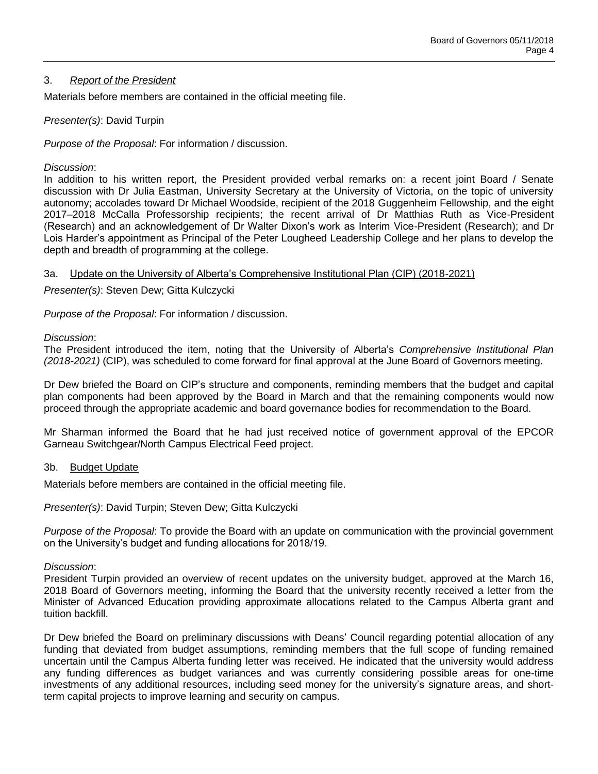### 3. *Report of the President*

Materials before members are contained in the official meeting file.

### *Presenter(s)*: David Turpin

*Purpose of the Proposal*: For information / discussion.

### *Discussion*:

In addition to his written report, the President provided verbal remarks on: a recent joint Board / Senate discussion with Dr Julia Eastman, University Secretary at the University of Victoria, on the topic of university autonomy; accolades toward Dr Michael Woodside, recipient of the 2018 Guggenheim Fellowship, and the eight 2017–2018 McCalla Professorship recipients; the recent arrival of Dr Matthias Ruth as Vice-President (Research) and an acknowledgement of Dr Walter Dixon's work as Interim Vice-President (Research); and Dr Lois Harder's appointment as Principal of the Peter Lougheed Leadership College and her plans to develop the depth and breadth of programming at the college.

## 3a. Update on the University of Alberta's Comprehensive Institutional Plan (CIP) (2018-2021)

*Presenter(s)*: Steven Dew; Gitta Kulczycki

*Purpose of the Proposal*: For information / discussion.

### *Discussion*:

The President introduced the item, noting that the University of Alberta's *Comprehensive Institutional Plan (2018-2021)* (CIP), was scheduled to come forward for final approval at the June Board of Governors meeting.

Dr Dew briefed the Board on CIP's structure and components, reminding members that the budget and capital plan components had been approved by the Board in March and that the remaining components would now proceed through the appropriate academic and board governance bodies for recommendation to the Board.

Mr Sharman informed the Board that he had just received notice of government approval of the EPCOR Garneau Switchgear/North Campus Electrical Feed project.

### 3b. Budget Update

Materials before members are contained in the official meeting file.

*Presenter(s)*: David Turpin; Steven Dew; Gitta Kulczycki

*Purpose of the Proposal*: To provide the Board with an update on communication with the provincial government on the University's budget and funding allocations for 2018/19.

### *Discussion*:

President Turpin provided an overview of recent updates on the university budget, approved at the March 16, 2018 Board of Governors meeting, informing the Board that the university recently received a letter from the Minister of Advanced Education providing approximate allocations related to the Campus Alberta grant and tuition backfill.

Dr Dew briefed the Board on preliminary discussions with Deans' Council regarding potential allocation of any funding that deviated from budget assumptions, reminding members that the full scope of funding remained uncertain until the Campus Alberta funding letter was received. He indicated that the university would address any funding differences as budget variances and was currently considering possible areas for one-time investments of any additional resources, including seed money for the university's signature areas, and shortterm capital projects to improve learning and security on campus.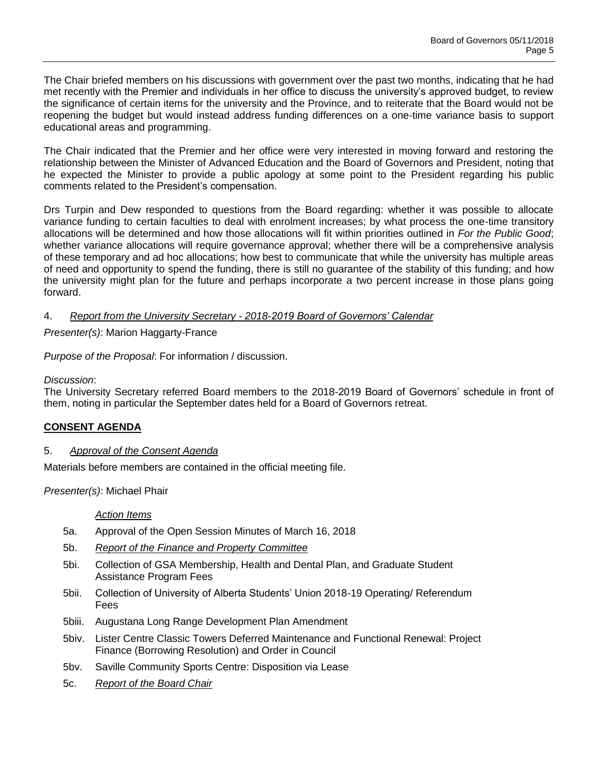The Chair briefed members on his discussions with government over the past two months, indicating that he had met recently with the Premier and individuals in her office to discuss the university's approved budget, to review the significance of certain items for the university and the Province, and to reiterate that the Board would not be reopening the budget but would instead address funding differences on a one-time variance basis to support educational areas and programming.

The Chair indicated that the Premier and her office were very interested in moving forward and restoring the relationship between the Minister of Advanced Education and the Board of Governors and President, noting that he expected the Minister to provide a public apology at some point to the President regarding his public comments related to the President's compensation.

Drs Turpin and Dew responded to questions from the Board regarding: whether it was possible to allocate variance funding to certain faculties to deal with enrolment increases; by what process the one-time transitory allocations will be determined and how those allocations will fit within priorities outlined in *For the Public Good*; whether variance allocations will require governance approval; whether there will be a comprehensive analysis of these temporary and ad hoc allocations; how best to communicate that while the university has multiple areas of need and opportunity to spend the funding, there is still no guarantee of the stability of this funding; and how the university might plan for the future and perhaps incorporate a two percent increase in those plans going forward.

## 4. *Report from the University Secretary - 2018-2019 Board of Governors' Calendar*

*Presenter(s)*: Marion Haggarty-France

*Purpose of the Proposal*: For information / discussion.

### *Discussion*:

The University Secretary referred Board members to the 2018-2019 Board of Governors' schedule in front of them, noting in particular the September dates held for a Board of Governors retreat.

### **CONSENT AGENDA**

### 5. *Approval of the Consent Agenda*

Materials before members are contained in the official meeting file.

*Presenter(s)*: Michael Phair

#### *Action Items*

- 5a. Approval of the Open Session Minutes of March 16, 2018
- 5b. *Report of the Finance and Property Committee*
- 5bi. Collection of GSA Membership, Health and Dental Plan, and Graduate Student Assistance Program Fees
- 5bii. Collection of University of Alberta Students' Union 2018-19 Operating/ Referendum Fees
- 5biii. Augustana Long Range Development Plan Amendment
- 5biv. Lister Centre Classic Towers Deferred Maintenance and Functional Renewal: Project Finance (Borrowing Resolution) and Order in Council
- 5bv. Saville Community Sports Centre: Disposition via Lease
- 5c. *Report of the Board Chair*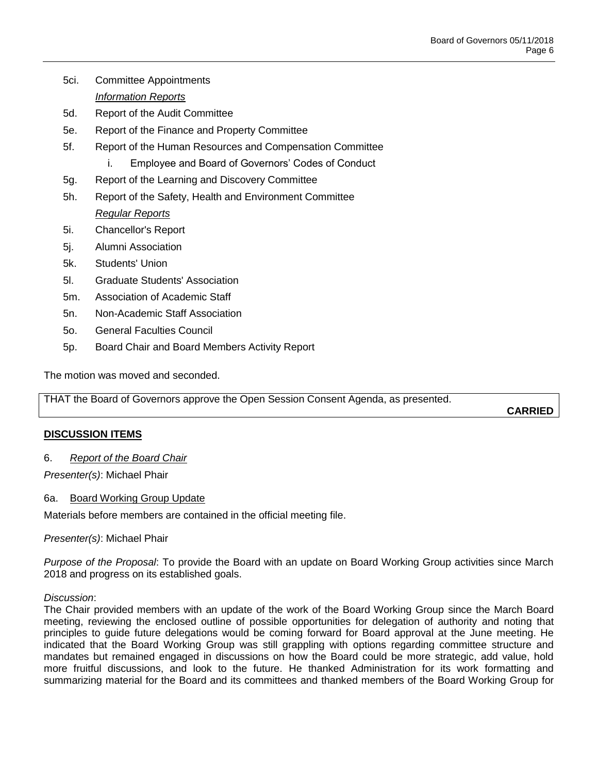- 5ci. Committee Appointments
	- *Information Reports*
- 5d. Report of the Audit Committee
- 5e. Report of the Finance and Property Committee
- 5f. Report of the Human Resources and Compensation Committee
	- i. Employee and Board of Governors' Codes of Conduct
- 5g. Report of the Learning and Discovery Committee
- 5h. Report of the Safety, Health and Environment Committee *Regular Reports*
- 5i. Chancellor's Report
- 5j. Alumni Association
- 5k. Students' Union
- 5l. Graduate Students' Association
- 5m. Association of Academic Staff
- 5n. Non-Academic Staff Association
- 5o. General Faculties Council
- 5p. Board Chair and Board Members Activity Report

The motion was moved and seconded.

THAT the Board of Governors approve the Open Session Consent Agenda, as presented.

**CARRIED**

# **DISCUSSION ITEMS**

# 6. *Report of the Board Chair*

*Presenter(s)*: Michael Phair

### 6a. Board Working Group Update

Materials before members are contained in the official meeting file.

*Presenter(s)*: Michael Phair

*Purpose of the Proposal*: To provide the Board with an update on Board Working Group activities since March 2018 and progress on its established goals.

### *Discussion*:

The Chair provided members with an update of the work of the Board Working Group since the March Board meeting, reviewing the enclosed outline of possible opportunities for delegation of authority and noting that principles to guide future delegations would be coming forward for Board approval at the June meeting. He indicated that the Board Working Group was still grappling with options regarding committee structure and mandates but remained engaged in discussions on how the Board could be more strategic, add value, hold more fruitful discussions, and look to the future. He thanked Administration for its work formatting and summarizing material for the Board and its committees and thanked members of the Board Working Group for